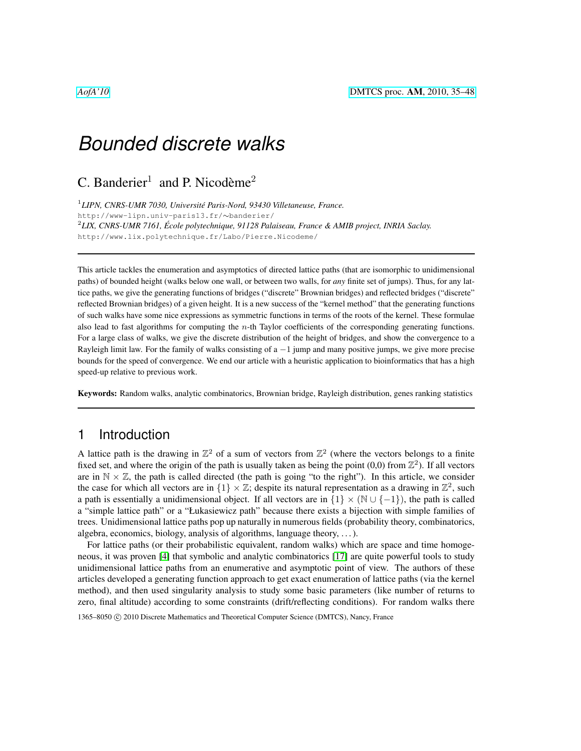C. Banderier<sup>1</sup> and P. Nicodème<sup>2</sup>

1 *LIPN, CNRS-UMR 7030, Universite Paris-Nord, 93430 Villetaneuse, France. ´* http://www-lipn.univ-paris13.fr/∼banderier/ 2 *LIX, CNRS-UMR 7161, Ecole polytechnique, 91128 Palaiseau, France & AMIB project, INRIA Saclay. ´* http://www.lix.polytechnique.fr/Labo/Pierre.Nicodeme/

This article tackles the enumeration and asymptotics of directed lattice paths (that are isomorphic to unidimensional paths) of bounded height (walks below one wall, or between two walls, for *any* finite set of jumps). Thus, for any lattice paths, we give the generating functions of bridges ("discrete" Brownian bridges) and reflected bridges ("discrete" reflected Brownian bridges) of a given height. It is a new success of the "kernel method" that the generating functions of such walks have some nice expressions as symmetric functions in terms of the roots of the kernel. These formulae also lead to fast algorithms for computing the  $n$ -th Taylor coefficients of the corresponding generating functions. For a large class of walks, we give the discrete distribution of the height of bridges, and show the convergence to a Rayleigh limit law. For the family of walks consisting of  $a - 1$  jump and many positive jumps, we give more precise bounds for the speed of convergence. We end our article with a heuristic application to bioinformatics that has a high speed-up relative to previous work.

Keywords: Random walks, analytic combinatorics, Brownian bridge, Rayleigh distribution, genes ranking statistics

### <span id="page-0-0"></span>1 Introduction

A lattice path is the drawing in  $\mathbb{Z}^2$  of a sum of vectors from  $\mathbb{Z}^2$  (where the vectors belongs to a finite fixed set, and where the origin of the path is usually taken as being the point  $(0,0)$  from  $\mathbb{Z}^2$ ). If all vectors are in  $\mathbb{N} \times \mathbb{Z}$ , the path is called directed (the path is going "to the right"). In this article, we consider the case for which all vectors are in  $\{1\} \times \mathbb{Z}$ ; despite its natural representation as a drawing in  $\mathbb{Z}^2$ , such a path is essentially a unidimensional object. If all vectors are in  $\{1\} \times (\mathbb{N} \cup \{-1\})$ , the path is called a "simple lattice path" or a "Łukasiewicz path" because there exists a bijection with simple families of trees. Unidimensional lattice paths pop up naturally in numerous fields (probability theory, combinatorics, algebra, economics, biology, analysis of algorithms, language theory, . . . ).

For lattice paths (or their probabilistic equivalent, random walks) which are space and time homogeneous, it was proven [\[4\]](#page-12-0) that symbolic and analytic combinatorics [\[17\]](#page-13-0) are quite powerful tools to study unidimensional lattice paths from an enumerative and asymptotic point of view. The authors of these articles developed a generating function approach to get exact enumeration of lattice paths (via the kernel method), and then used singularity analysis to study some basic parameters (like number of returns to zero, final altitude) according to some constraints (drift/reflecting conditions). For random walks there

1365–8050 C 2010 Discrete Mathematics and Theoretical Computer Science (DMTCS), Nancy, France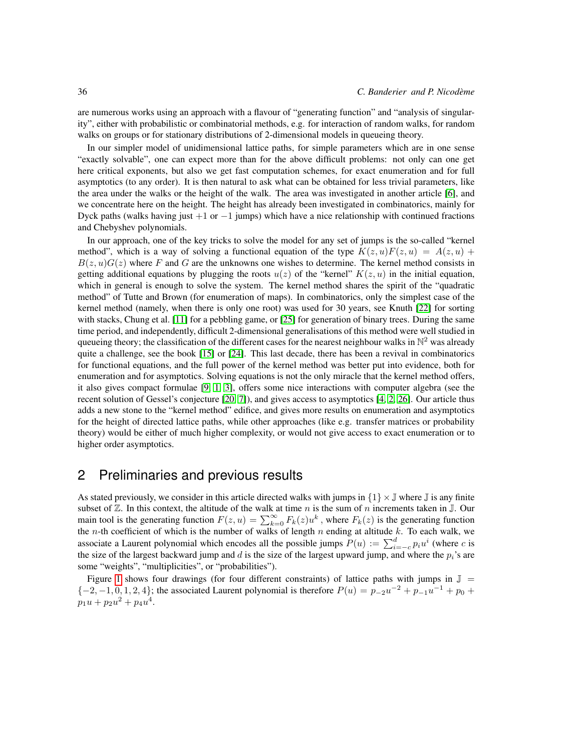are numerous works using an approach with a flavour of "generating function" and "analysis of singularity", either with probabilistic or combinatorial methods, e.g. for interaction of random walks, for random walks on groups or for stationary distributions of 2-dimensional models in queueing theory.

In our simpler model of unidimensional lattice paths, for simple parameters which are in one sense "exactly solvable", one can expect more than for the above difficult problems: not only can one get here critical exponents, but also we get fast computation schemes, for exact enumeration and for full asymptotics (to any order). It is then natural to ask what can be obtained for less trivial parameters, like the area under the walks or the height of the walk. The area was investigated in another article [\[6\]](#page-12-1), and we concentrate here on the height. The height has already been investigated in combinatorics, mainly for Dyck paths (walks having just  $+1$  or  $-1$  jumps) which have a nice relationship with continued fractions and Chebyshev polynomials.

In our approach, one of the key tricks to solve the model for any set of jumps is the so-called "kernel method", which is a way of solving a functional equation of the type  $K(z, u)F(z, u) = A(z, u) +$  $B(z, u)G(z)$  where F and G are the unknowns one wishes to determine. The kernel method consists in getting additional equations by plugging the roots  $u(z)$  of the "kernel"  $K(z, u)$  in the initial equation, which in general is enough to solve the system. The kernel method shares the spirit of the "quadratic method" of Tutte and Brown (for enumeration of maps). In combinatorics, only the simplest case of the kernel method (namely, when there is only one root) was used for 30 years, see Knuth [\[22\]](#page-13-1) for sorting with stacks, Chung et al. [\[11\]](#page-13-2) for a pebbling game, or [\[25\]](#page-13-3) for generation of binary trees. During the same time period, and independently, difficult 2-dimensional generalisations of this method were well studied in queueing theory; the classification of the different cases for the nearest neighbour walks in  $\mathbb{N}^2$  was already quite a challenge, see the book [\[15\]](#page-13-4) or [\[24\]](#page-13-5). This last decade, there has been a revival in combinatorics for functional equations, and the full power of the kernel method was better put into evidence, both for enumeration and for asymptotics. Solving equations is not the only miracle that the kernel method offers, it also gives compact formulae [\[9,](#page-12-2) [1,](#page-12-3) [3\]](#page-12-4), offers some nice interactions with computer algebra (see the recent solution of Gessel's conjecture [\[20,](#page-13-6) [7\]](#page-12-5)), and gives access to asymptotics [\[4,](#page-12-0) [2,](#page-12-6) [26\]](#page-13-7). Our article thus adds a new stone to the "kernel method" edifice, and gives more results on enumeration and asymptotics for the height of directed lattice paths, while other approaches (like e.g. transfer matrices or probability theory) would be either of much higher complexity, or would not give access to exact enumeration or to higher order asymptotics.

# <span id="page-1-0"></span>2 Preliminaries and previous results

As stated previously, we consider in this article directed walks with jumps in  $\{1\} \times \mathbb{J}$  where  $\mathbb{J}$  is any finite subset of  $\mathbb Z$ . In this context, the altitude of the walk at time n is the sum of n increments taken in  $\mathbb J$ . Our main tool is the generating function  $F(z, u) = \sum_{k=0}^{\infty} F_k(z)u^k$ , where  $F_k(z)$  is the generating function the *n*-th coefficient of which is the number of walks of length *n* ending at altitude k. To each walk, we associate a Laurent polynomial which encodes all the possible jumps  $P(u) := \sum_{i=-c}^{d} p_i u^i$  (where c is the size of the largest backward jump and  $d$  is the size of the largest upward jump, and where the  $p_i$ 's are some "weights", "multiplicities", or "probabilities").

Figure [1](#page-2-0) shows four drawings (for four different constraints) of lattice paths with jumps in  $\mathbb{J}$  =  ${-2, -1, 0, 1, 2, 4}$ ; the associated Laurent polynomial is therefore  $P(u) = p_{-2}u^{-2} + p_{-1}u^{-1} + p_0 + p_1u^{-1}$  $p_1u + p_2u^2 + p_4u^4$ .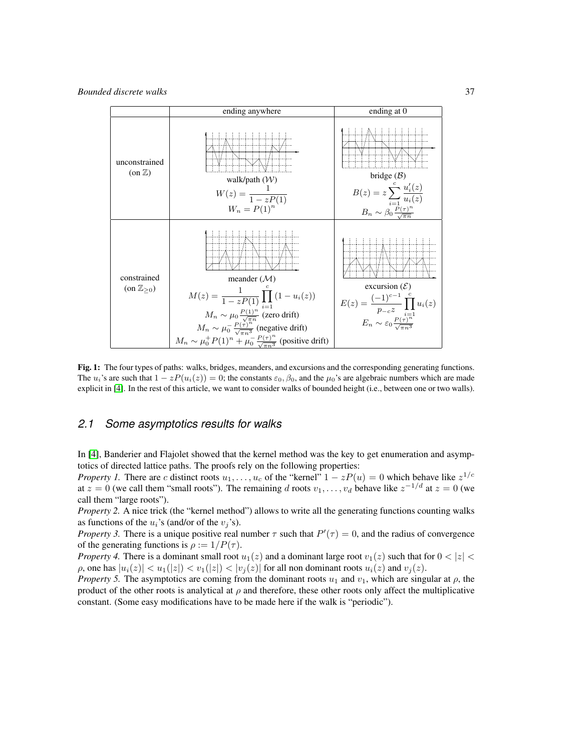

<span id="page-2-0"></span>Fig. 1: The four types of paths: walks, bridges, meanders, and excursions and the corresponding generating functions. The  $u_i$ 's are such that  $1 - zP(u_i(z)) = 0$ ; the constants  $\varepsilon_0$ ,  $\beta_0$ , and the  $\mu_0$ 's are algebraic numbers which are made explicit in [\[4\]](#page-12-0). In the rest of this article, we want to consider walks of bounded height (i.e., between one or two walls).

#### *2.1 Some asymptotics results for walks*

In [\[4\]](#page-12-0), Banderier and Flajolet showed that the kernel method was the key to get enumeration and asymptotics of directed lattice paths. The proofs rely on the following properties:

*Property 1.* There are c distinct roots  $u_1, \ldots, u_c$  of the "kernel"  $1 - zP(u) = 0$  which behave like  $z^{1/c}$ at  $z = 0$  (we call them "small roots"). The remaining d roots  $v_1, \ldots, v_d$  behave like  $z^{-1/d}$  at  $z = 0$  (we call them "large roots").

*Property 2.* A nice trick (the "kernel method") allows to write all the generating functions counting walks as functions of the  $u_i$ 's (and/or of the  $v_i$ 's).

*Property 3.* There is a unique positive real number  $\tau$  such that  $P'(\tau) = 0$ , and the radius of convergence of the generating functions is  $\rho := 1/P(\tau)$ .

*Property 4.* There is a dominant small root  $u_1(z)$  and a dominant large root  $v_1(z)$  such that for  $0 < |z| <$  $\rho$ , one has  $|u_i(z)| < u_1(|z|) < v_1(|z|) < |v_j(z)|$  for all non dominant roots  $u_i(z)$  and  $v_j(z)$ .

*Property 5.* The asymptotics are coming from the dominant roots  $u_1$  and  $v_1$ , which are singular at  $\rho$ , the product of the other roots is analytical at  $\rho$  and therefore, these other roots only affect the multiplicative constant. (Some easy modifications have to be made here if the walk is "periodic").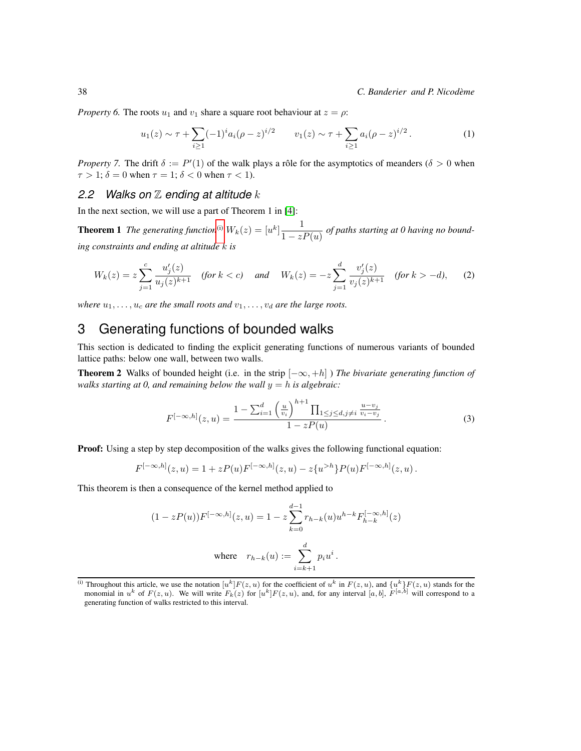*Property 6.* The roots  $u_1$  and  $v_1$  share a square root behaviour at  $z = \rho$ :

<span id="page-3-2"></span>
$$
u_1(z) \sim \tau + \sum_{i \ge 1} (-1)^i a_i (\rho - z)^{i/2} \qquad v_1(z) \sim \tau + \sum_{i \ge 1} a_i (\rho - z)^{i/2} \,. \tag{1}
$$

*Property 7.* The drift  $\delta := P'(1)$  of the walk plays a rôle for the asymptotics of meanders ( $\delta > 0$  when  $\tau > 1$ ;  $\delta = 0$  when  $\tau = 1$ ;  $\delta < 0$  when  $\tau < 1$ ).

### *2.2 Walks on* Z *ending at altitude* k

In the next section, we will use a part of Theorem 1 in [\[4\]](#page-12-0):

**Theorem 1** The generating function<sup>[\(i\)](#page-3-0)</sup>  $W_k(z) = [u^k] \frac{1}{1-z}$  $\frac{1}{1-zP(u)}$  of paths starting at 0 having no bound*ing constraints and ending at altitude* k *is*

$$
W_k(z) = z \sum_{j=1}^c \frac{u'_j(z)}{u_j(z)^{k+1}} \quad \text{(for } k < c\text{)} \quad \text{and} \quad W_k(z) = -z \sum_{j=1}^d \frac{v'_j(z)}{v_j(z)^{k+1}} \quad \text{(for } k > -d\text{)}, \tag{2}
$$

*where*  $u_1, \ldots, u_c$  *are the small roots and*  $v_1, \ldots, v_d$  *are the large roots.* 

# 3 Generating functions of bounded walks

This section is dedicated to finding the explicit generating functions of numerous variants of bounded lattice paths: below one wall, between two walls.

**Theorem 2** Walks of bounded height (i.e. in the strip  $[-\infty, +h]$ ) *The bivariate generating function of walks starting at 0, and remaining below the wall*  $y = h$  *is algebraic:* 

<span id="page-3-3"></span><span id="page-3-1"></span>
$$
F^{[-\infty,h]}(z,u) = \frac{1 - \sum_{i=1}^{d} \left(\frac{u}{v_i}\right)^{h+1} \prod_{1 \le j \le d, j \ne i} \frac{u - v_j}{v_i - v_j}}{1 - zP(u)}.
$$
 (3)

Proof: Using a step by step decomposition of the walks gives the following functional equation:

$$
F^{[-\infty,h]}(z,u) = 1 + zP(u)F^{[-\infty,h]}(z,u) - z\{u^{>h}\}P(u)F^{[-\infty,h]}(z,u) .
$$

This theorem is then a consequence of the kernel method applied to

$$
(1 - zP(u))F^{[-\infty,h]}(z, u) = 1 - z \sum_{k=0}^{d-1} r_{h-k}(u)u^{h-k}F_{h-k}^{[-\infty,h]}(z)
$$
  
where  $r_{h-k}(u) := \sum_{i=k+1}^{d} p_i u^i$ .

<span id="page-3-0"></span><sup>(</sup>i) Throughout this article, we use the notation  $[u^k]F(z, u)$  for the coefficient of  $u^k$  in  $F(z, u)$ , and  $\{u^k\}F(z, u)$  stands for the monomial in  $u^k$  of  $F(z, u)$ . We will write  $F_k(z)$  for  $[u^k]F(z, u)$ , and, for any interval  $[a, b]$ ,  $F^{[a, b]}$  will correspond to a generating function of walks restricted to this interval.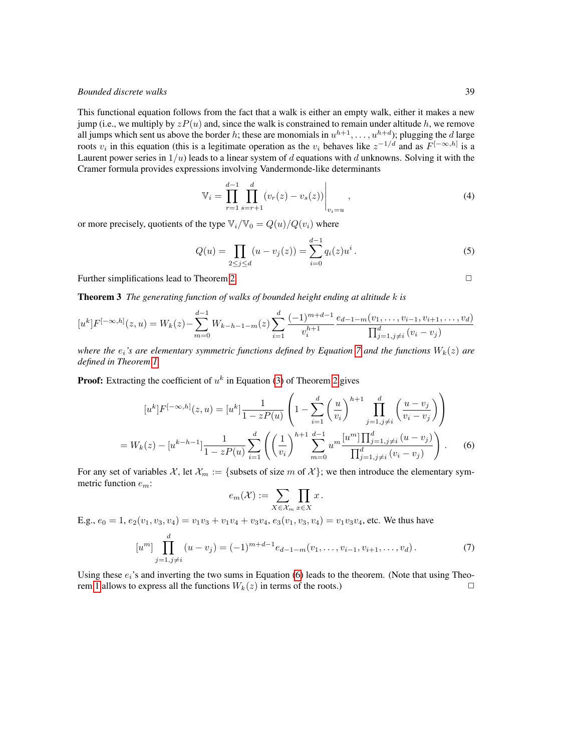This functional equation follows from the fact that a walk is either an empty walk, either it makes a new jump (i.e., we multiply by  $zP(u)$  and, since the walk is constrained to remain under altitude h, we remove all jumps which sent us above the border h; these are monomials in  $u^{h+1}, \ldots, u^{h+d}$ ); plugging the d large roots  $v_i$  in this equation (this is a legitimate operation as the  $v_i$  behaves like  $z^{-1/d}$  and as  $F^{[-\infty,h]}$  is a Laurent power series in  $1/u$ ) leads to a linear system of d equations with d unknowns. Solving it with the Cramer formula provides expressions involving Vandermonde-like determinants

<span id="page-4-3"></span>
$$
\mathbb{V}_{i} = \prod_{r=1}^{d-1} \prod_{s=r+1}^{d} (v_r(z) - v_s(z)) \Big|_{v_i=u} , \qquad (4)
$$

or more precisely, quotients of the type  $\mathbb{V}_i/\mathbb{V}_0 = Q(u)/Q(v_i)$  where

$$
Q(u) = \prod_{2 \le j \le d} (u - v_j(z)) = \sum_{i=0}^{d-1} q_i(z) u^i.
$$
 (5)

Further simplifications lead to Theorem [2.](#page-3-1)

Theorem 3 *The generating function of walks of bounded height ending at altitude* k *is*

$$
[u^k]F^{[-\infty,h]}(z,u) = W_k(z) - \sum_{m=0}^{d-1} W_{k-h-1-m}(z) \sum_{i=1}^d \frac{(-1)^{m+d-1}}{v_i^{h+1}} \frac{e_{d-1-m}(v_1,\ldots,v_{i-1},v_{i+1},\ldots,v_d)}{\prod_{j=1,j\neq i}^d (v_i - v_j)}
$$

*where the*  $e_i$ *'s are elementary symmetric functions defined by Equation* [7](#page-4-0) *and the functions*  $W_k(z)$  *are defined in Theorem [1.](#page-3-2)*

**Proof:** Extracting the coefficient of  $u^k$  in Equation [\(3\)](#page-3-3) of Theorem [2](#page-3-1) gives

$$
[u^{k}]F^{[-\infty,h]}(z,u) = [u^{k}] \frac{1}{1 - zP(u)} \left(1 - \sum_{i=1}^{d} \left(\frac{u}{v_{i}}\right)^{h+1} \prod_{j=1, j \neq i}^{d} \left(\frac{u - v_{j}}{v_{i} - v_{j}}\right)\right)
$$
  
=  $W_{k}(z) - [u^{k-h-1}] \frac{1}{1 - zP(u)} \sum_{i=1}^{d} \left(\left(\frac{1}{v_{i}}\right)^{h+1} \sum_{m=0}^{d-1} u^{m} \frac{[u^{m}] \prod_{j=1, j \neq i}^{d} (u - v_{j})}{\prod_{j=1, j \neq i}^{d} (v_{i} - v_{j})}\right).$  (6)

For any set of variables  $\mathcal{X}$ , let  $\mathcal{X}_m := \{$  subsets of size m of  $\mathcal{X}\}$ ; we then introduce the elementary symmetric function  $e_m$ :

<span id="page-4-1"></span><span id="page-4-0"></span>
$$
e_m(\mathcal{X}) := \sum_{X \in \mathcal{X}_m} \prod_{x \in X} x.
$$

E.g.,  $e_0 = 1$ ,  $e_2(v_1, v_3, v_4) = v_1v_3 + v_1v_4 + v_3v_4$ ,  $e_3(v_1, v_3, v_4) = v_1v_3v_4$ , etc. We thus have

$$
[um] \prod_{j=1,j\neq i}^{d} (u - v_j) = (-1)^{m+d-1} e_{d-1-m}(v_1, \dots, v_{i-1}, v_{i+1}, \dots, v_d).
$$
 (7)

<span id="page-4-2"></span>Using these  $e_i$ 's and inverting the two sums in Equation [\(6\)](#page-4-1) leads to the theorem. (Note that using Theo-rem [1](#page-3-2) allows to express all the functions  $W_k(z)$  in terms of the roots.)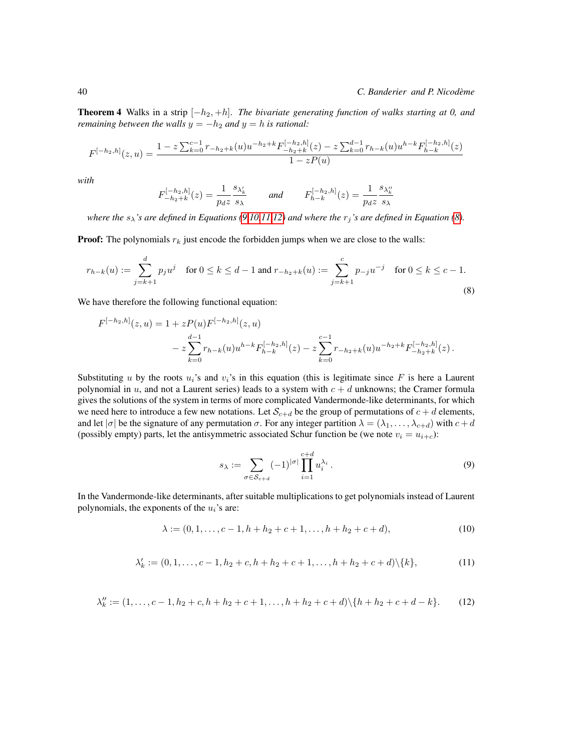**Theorem 4** Walks in a strip  $[-h_2, +h]$ . *The bivariate generating function of walks starting at 0, and remaining between the walls*  $y = -h_2$  *and*  $y = h$  *is rational:* 

$$
F^{[-h_2,h]}(z,u) = \frac{1 - z \sum_{k=0}^{c-1} r_{-h_2+k}(u)u^{-h_2+k}F_{-h_2+k}^{[-h_2,h]}(z) - z \sum_{k=0}^{d-1} r_{h-k}(u)u^{h-k}F_{h-k}^{[-h_2,h]}(z)}{1 - zP(u)}
$$

*with*

<span id="page-5-4"></span>
$$
F_{-h_2+k}^{[-h_2,h]}(z) = \frac{1}{p_d z} \frac{s_{\lambda'_k}}{s_{\lambda}} \quad \text{and} \quad F_{h-k}^{[-h_2,h]}(z) = \frac{1}{p_d z} \frac{s_{\lambda''_k}}{s_{\lambda}}
$$

*where the*  $s_{\lambda}$ *'s are defined in Equations [\(9](#page-5-0)[,10](#page-5-1)[,11,](#page-5-2)[12\)](#page-5-3) and where the*  $r_j$ *'s are defined in Equation [\(8\)](#page-5-4).* 

**Proof:** The polynomials  $r_k$  just encode the forbidden jumps when we are close to the walls:

$$
r_{h-k}(u) := \sum_{j=k+1}^{d} p_j u^j \quad \text{for } 0 \le k \le d-1 \text{ and } r_{-h_2+k}(u) := \sum_{j=k+1}^{c} p_{-j} u^{-j} \quad \text{for } 0 \le k \le c-1.
$$
\n(8)

We have therefore the following functional equation:

$$
F^{[-h_2,h]}(z,u) = 1 + zP(u)F^{[-h_2,h]}(z,u)
$$
  

$$
- z\sum_{k=0}^{d-1} r_{h-k}(u)u^{h-k}F^{[-h_2,h]}_{h-k}(z) - z\sum_{k=0}^{c-1} r_{-h_2+k}(u)u^{-h_2+k}F^{[-h_2,h]}_{-h_2+k}(z).
$$

Substituting u by the roots  $u_i$ 's and  $v_i$ 's in this equation (this is legitimate since F is here a Laurent polynomial in  $u$ , and not a Laurent series) leads to a system with  $c + d$  unknowns; the Cramer formula gives the solutions of the system in terms of more complicated Vandermonde-like determinants, for which we need here to introduce a few new notations. Let  $S_{c+d}$  be the group of permutations of  $c+d$  elements, and let  $|\sigma|$  be the signature of any permutation  $\sigma$ . For any integer partition  $\lambda = (\lambda_1, \dots, \lambda_{c+d})$  with  $c+d$ (possibly empty) parts, let the antisymmetric associated Schur function be (we note  $v_i = u_{i+c}$ ):

<span id="page-5-1"></span><span id="page-5-0"></span>
$$
s_{\lambda} := \sum_{\sigma \in \mathcal{S}_{c+d}} (-1)^{|\sigma|} \prod_{i=1}^{c+d} u_i^{\lambda_i}.
$$
 (9)

<span id="page-5-2"></span>In the Vandermonde-like determinants, after suitable multiplications to get polynomials instead of Laurent polynomials, the exponents of the  $u_i$ 's are:

$$
\lambda := (0, 1, \dots, c-1, h+h_2+c+1, \dots, h+h_2+c+d),
$$
\n<sup>(10)</sup>

$$
\lambda'_k := (0, 1, \dots, c-1, h_2 + c, h + h_2 + c + 1, \dots, h + h_2 + c + d) \setminus \{k\},\tag{11}
$$

<span id="page-5-3"></span>
$$
\lambda_k'' := (1, \dots, c-1, h_2+c, h+h_2+c+1, \dots, h+h_2+c+d) \setminus \{h+h_2+c+d-k\}. \tag{12}
$$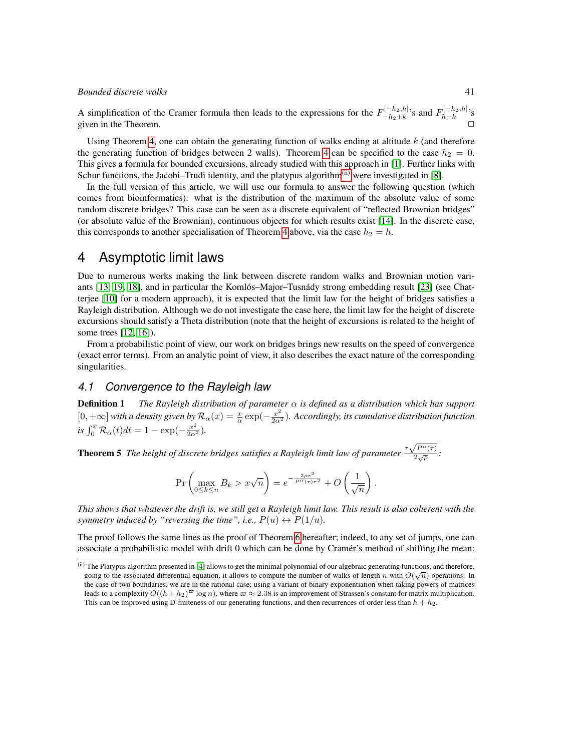A simplification of the Cramer formula then leads to the expressions for the  $F_{-h_2+k}^{[-h_2,h]}$  $\sum_{-h_2+k}^{[-h_2,h]}$ 's and  $F_{h-k}^{[-h_2,h]}$ 's given in the Theorem.  $\Box$ 

Using Theorem [4,](#page-4-2) one can obtain the generating function of walks ending at altitude  $k$  (and therefore the generating function of bridges between 2 walls). Theorem [4](#page-4-2) can be specified to the case  $h_2 = 0$ . This gives a formula for bounded excursions, already studied with this approach in [\[1\]](#page-12-3). Further links with Schur functions, the Jacobi–Trudi identity, and the platypus algorithm<sup> $(ii)$ </sup> were investigated in [\[8\]](#page-12-7).

In the full version of this article, we will use our formula to answer the following question (which comes from bioinformatics): what is the distribution of the maximum of the absolute value of some random discrete bridges? This case can be seen as a discrete equivalent of "reflected Brownian bridges" (or absolute value of the Brownian), continuous objects for which results exist [\[14\]](#page-13-8). In the discrete case, this corresponds to another specialisation of Theorem [4](#page-4-2) above, via the case  $h_2 = h$ .

# 4 Asymptotic limit laws

Due to numerous works making the link between discrete random walks and Brownian motion vari-ants [\[13,](#page-13-9) [19,](#page-13-10) [18\]](#page-13-11), and in particular the Komlós–Major–Tusnády strong embedding result [\[23\]](#page-13-12) (see Chatterjee [\[10\]](#page-13-13) for a modern approach), it is expected that the limit law for the height of bridges satisfies a Rayleigh distribution. Although we do not investigate the case here, the limit law for the height of discrete excursions should satisfy a Theta distribution (note that the height of excursions is related to the height of some trees [\[12,](#page-13-14) [16\]](#page-13-15)).

From a probabilistic point of view, our work on bridges brings new results on the speed of convergence (exact error terms). From an analytic point of view, it also describes the exact nature of the corresponding singularities.

#### <span id="page-6-1"></span>*4.1 Convergence to the Rayleigh law*

Definition 1 *The Rayleigh distribution of parameter* α *is defined as a distribution which has support*  $[0, +\infty]$  with a density given by  $\mathcal{R}_\alpha(x) = \frac{x}{\alpha} \exp(-\frac{x^2}{2\alpha^2})$ . Accordingly, its cumulative distribution function  $is \int_0^x \mathcal{R}_{\alpha}(t)dt = 1 - \exp(-\frac{x^2}{2\alpha^2}).$ 

**Theorem 5** The height of discrete bridges satisfies a Rayleigh limit law of parameter  $\frac{\tau\sqrt{P^{\prime\prime}(\tau)}}{2\sqrt{\sigma}}$ √  $rac{(1)}{2\sqrt{\rho}}$ :

$$
\Pr\left(\max_{0\leq k\leq n}B_k > x\sqrt{n}\right) = e^{-\frac{2\rho x^2}{P''(\tau)\tau^2}} + O\left(\frac{1}{\sqrt{n}}\right).
$$

*This shows that whatever the drift is, we still get a Rayleigh limit law. This result is also coherent with the symmetry induced by "reversing the time", i.e.,*  $P(u) \leftrightarrow P(1/u)$ .

The proof follows the same lines as the proof of Theorem [6](#page-7-0) hereafter; indeed, to any set of jumps, one can associate a probabilistic model with drift 0 which can be done by Cramer's method of shifting the mean: ´

<span id="page-6-0"></span><sup>(</sup>ii) The Platypus algorithm presented in [\[4\]](#page-12-0) allows to get the minimal polynomial of our algebraic generating functions, and therefore, going to the associated differential equation, it allows to compute the number of walks of length n with  $O(\sqrt{n})$  operations. In the case of two boundaries, we are in the rational case; using a variant of binary exponentiation when taking powers of matrices leads to a complexity  $O((h + h_2)^\infty \log n)$ , where  $\varpi \approx 2.38$  is an improvement of Strassen's constant for matrix multiplication. This can be improved using D-finiteness of our generating functions, and then recurrences of order less than  $h + h_2$ .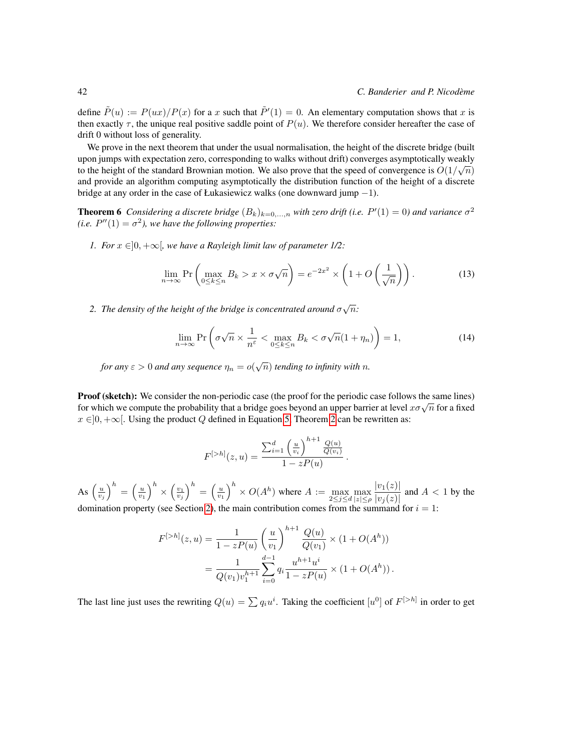define  $\tilde{P}(u) := P(ux)/P(x)$  for a x such that  $\tilde{P}'(1) = 0$ . An elementary computation shows that x is then exactly  $\tau$ , the unique real positive saddle point of  $P(u)$ . We therefore consider hereafter the case of drift 0 without loss of generality.

We prove in the next theorem that under the usual normalisation, the height of the discrete bridge (built upon jumps with expectation zero, corresponding to walks without drift) converges asymptotically weakly to the height of the standard Brownian motion. We also prove that the speed of convergence is  $O(1/\sqrt{n})$ and provide an algorithm computing asymptotically the distribution function of the height of a discrete bridge at any order in the case of Łukasiewicz walks (one downward jump −1).

**Theorem 6** Considering a discrete bridge  $(B_k)_{k=0,\dots,n}$  with zero drift (i.e.  $P'(1) = 0$ ) and variance  $\sigma^2$ *(i.e.*  $P''(1) = \sigma^2$ ), we have the following properties:

*1. For*  $x \in ]0, +\infty[$ *, we have a Rayleigh limit law of parameter 1/2:* 

<span id="page-7-0"></span>
$$
\lim_{n \to \infty} \Pr\left(\max_{0 \le k \le n} B_k > x \times \sigma \sqrt{n}\right) = e^{-2x^2} \times \left(1 + O\left(\frac{1}{\sqrt{n}}\right)\right). \tag{13}
$$

2. The density of the height of the bridge is concentrated around  $\sigma\sqrt{n}$ :

$$
\lim_{n \to \infty} \Pr\left(\sigma\sqrt{n} \times \frac{1}{n^{\varepsilon}} < \max_{0 \le k \le n} B_k < \sigma\sqrt{n}(1 + \eta_n)\right) = 1,\tag{14}
$$

for any  $\varepsilon > 0$  and any sequence  $\eta_n = o(\sqrt{n})$  tending to infinity with  $n$ .

Proof (sketch): We consider the non-periodic case (the proof for the periodic case follows the same lines) **f for which we compute the probability that a bridge goes beyond an upper barrier at level**  $x\sigma\sqrt{n}$  **for a fixed for which we compute the probability that a bridge goes beyond an upper barrier at level**  $x\sigma\sqrt{n}$  **for a**  $x \in ]0, +\infty[$ . Using the product Q defined in Equation [5,](#page-4-3) Theorem [2](#page-3-1) can be rewritten as:

$$
F^{[>h]}(z,u) = \frac{\sum_{i=1}^{d} \left(\frac{u}{v_i}\right)^{h+1} \frac{Q(u)}{Q(v_i)}}{1 - zP(u)}.
$$

As  $\left(\frac{u}{v_j}\right)^h = \left(\frac{u}{v_1}\right)^h \times \left(\frac{v_1}{v_j}\right)^h = \left(\frac{u}{v_1}\right)^h \times O(A^h)$  where  $A := \max_{2 \le j \le d} \max_{|z| \le \rho}$  $|v_1(z)|$  $\frac{|v_1(z)|}{|v_j(z)|}$  and  $A < 1$  by the domination property (see Section [2\)](#page-1-0), the main contribution comes from the summand for  $i = 1$ :

$$
F^{[>h]}(z,u) = \frac{1}{1 - zP(u)} \left(\frac{u}{v_1}\right)^{h+1} \frac{Q(u)}{Q(v_1)} \times (1 + O(A^h))
$$
  
= 
$$
\frac{1}{Q(v_1)v_1^{h+1}} \sum_{i=0}^{d-1} q_i \frac{u^{h+1}u^i}{1 - zP(u)} \times (1 + O(A^h)).
$$

The last line just uses the rewriting  $Q(u) = \sum q_i u^i$ . Taking the coefficient  $[u^0]$  of  $F^{[>h]}$  in order to get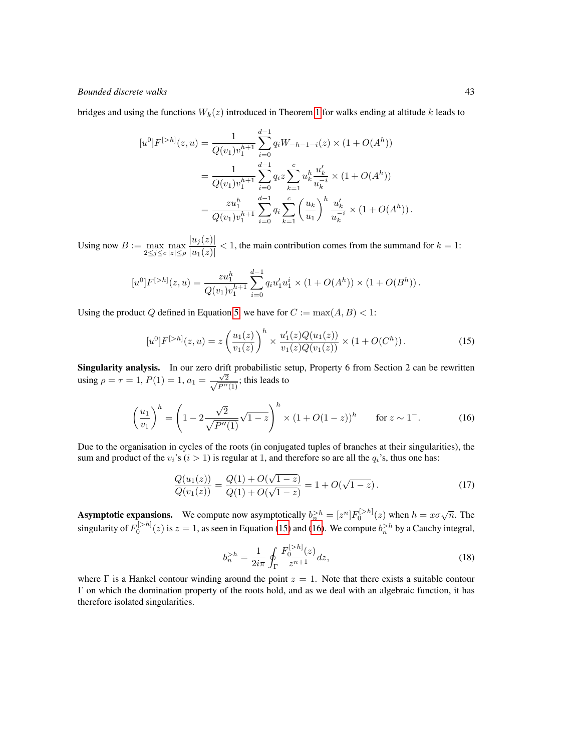bridges and using the functions  $W_k(z)$  introduced in Theorem [1](#page-3-2) for walks ending at altitude k leads to

$$
[u^{0}]F^{[>h]}(z,u) = \frac{1}{Q(v_{1})v_{1}^{h+1}} \sum_{i=0}^{d-1} q_{i}W_{-h-1-i}(z) \times (1 + O(A^{h}))
$$
  

$$
= \frac{1}{Q(v_{1})v_{1}^{h+1}} \sum_{i=0}^{d-1} q_{i}z \sum_{k=1}^{c} u_{k}^{h} \frac{u_{k}'}{u_{k}^{-i}} \times (1 + O(A^{h}))
$$
  

$$
= \frac{zu_{1}^{h}}{Q(v_{1})v_{1}^{h+1}} \sum_{i=0}^{d-1} q_{i} \sum_{k=1}^{c} \left(\frac{u_{k}}{u_{1}}\right)^{h} \frac{u_{k}'}{u_{k}^{-i}} \times (1 + O(A^{h})).
$$

Using now  $B := \max_{2 \le j \le c} \max_{|z| \le \rho}$  $|u_j(z)|$  $\frac{|u_2(x)|}{|u_1(z)|}$  < 1, the main contribution comes from the summand for  $k = 1$ :

$$
[u^{0}]F^{[>h]}(z,u) = \frac{zu_1^h}{Q(v_1)v_1^{h+1}} \sum_{i=0}^{d-1} q_i u_1' u_1^i \times (1 + O(A^h)) \times (1 + O(B^h)).
$$

Using the product Q defined in Equation [5,](#page-4-3) we have for  $C := max(A, B) < 1$ :

<span id="page-8-1"></span><span id="page-8-0"></span>
$$
[u^{0}]F^{[>h]}(z,u) = z \left(\frac{u_{1}(z)}{v_{1}(z)}\right)^{h} \times \frac{u'_{1}(z)Q(u_{1}(z))}{v_{1}(z)Q(v_{1}(z))} \times (1 + O(C^{h})).
$$
\n(15)

**Singularity analysis.** In our zero drift probabilistic setup, Property 6 from Section 2 can be rewritten using  $\rho = \tau = 1, P(1) = 1, a_1 = \frac{\sqrt{2}}{\sqrt{R}}$  $\frac{\sqrt{2}}{P''(1)}$ ; this leads to

$$
\left(\frac{u_1}{v_1}\right)^h = \left(1 - 2\frac{\sqrt{2}}{\sqrt{P''(1)}}\sqrt{1-z}\right)^h \times \left(1 + O(1-z)\right)^h \quad \text{for } z \sim 1^-.
$$
 (16)

Due to the organisation in cycles of the roots (in conjugated tuples of branches at their singularities), the sum and product of the  $v_i$ 's ( $i > 1$ ) is regular at 1, and therefore so are all the  $q_i$ 's, thus one has:

$$
\frac{Q(u_1(z))}{Q(v_1(z))} = \frac{Q(1) + O(\sqrt{1-z})}{Q(1) + O(\sqrt{1-z})} = 1 + O(\sqrt{1-z}).
$$
\n(17)

**Asymptotic expansions.** We compute now asymptotically  $b_n^{\geq h} = [z^n]F_0^{[>h]}(z)$  when  $h = x\sigma\sqrt{n}$ . The singularity of  $F_0^{[>h]}(z)$  is  $z=1$ , as seen in Equation [\(15\)](#page-8-0) and [\(16\)](#page-8-1). We compute  $b_n^{>h}$  by a Cauchy integral,

$$
b_n^{>h} = \frac{1}{2i\pi} \oint_{\Gamma} \frac{F_0^{[>h]}(z)}{z^{n+1}} dz,
$$
\n(18)

where  $\Gamma$  is a Hankel contour winding around the point  $z = 1$ . Note that there exists a suitable contour Γ on which the domination property of the roots hold, and as we deal with an algebraic function, it has therefore isolated singularities.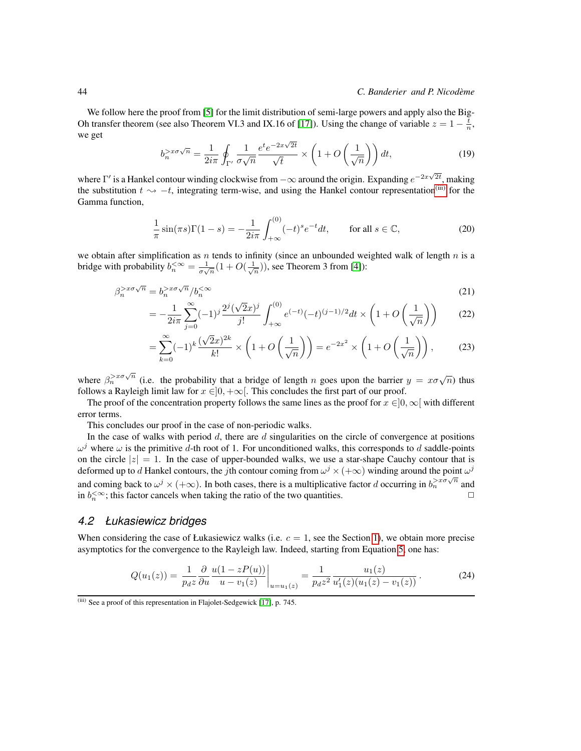We follow here the proof from [\[5\]](#page-12-8) for the limit distribution of semi-large powers and apply also the Big-Oh transfer theorem (see also Theorem VI.3 and IX.16 of [\[17\]](#page-13-0)). Using the change of variable  $z = 1 - \frac{t}{n}$ , we get √

$$
b_n^{>x\sigma\sqrt{n}} = \frac{1}{2i\pi} \oint_{\Gamma'} \frac{1}{\sigma\sqrt{n}} \frac{e^t e^{-2x\sqrt{2t}}}{\sqrt{t}} \times \left(1 + O\left(\frac{1}{\sqrt{n}}\right)\right) dt,\tag{19}
$$

where  $\Gamma'$  is a Hankel contour winding clockwise from  $-\infty$  around the origin. Expanding  $e^{-2x\sqrt{2t}}$ , making the substitution  $t \rightarrow -t$ , integrating term-wise, and using the Hankel contour representation<sup>[\(iii\)](#page-9-0)</sup> for the Gamma function,

$$
\frac{1}{\pi}\sin(\pi s)\Gamma(1-s) = -\frac{1}{2i\pi}\int_{+\infty}^{(0)} (-t)^s e^{-t} dt, \qquad \text{for all } s \in \mathbb{C},
$$
\n(20)

we obtain after simplification as n tends to infinity (since an unbounded weighted walk of length  $n$  is a bridge with probability  $b_n^{\lt \infty} = \frac{1}{\sigma\sqrt{n}}(1+O(\frac{1}{\sqrt{n}}))$ , see Theorem 3 from [\[4\]](#page-12-0)):

$$
\beta_n^{>x\sigma\sqrt{n}} = b_n^{>x\sigma\sqrt{n}} / b_n^{<\infty}
$$
\n(21)

$$
= -\frac{1}{2i\pi} \sum_{j=0}^{\infty} (-1)^j \frac{2^j (\sqrt{2}x)^j}{j!} \int_{+\infty}^{(0)} e^{(-t)} (-t)^{(j-1)/2} dt \times \left(1 + O\left(\frac{1}{\sqrt{n}}\right)\right) \tag{22}
$$

$$
= \sum_{k=0}^{\infty} (-1)^k \frac{(\sqrt{2}x)^{2k}}{k!} \times \left(1 + O\left(\frac{1}{\sqrt{n}}\right)\right) = e^{-2x^2} \times \left(1 + O\left(\frac{1}{\sqrt{n}}\right)\right),\tag{23}
$$

where  $\beta_n^{>x\sigma\sqrt{n}}$  (i.e. the probability that a bridge of length n goes upon the barrier  $y = x\sigma\sqrt{n}$ ) thus follows a Rayleigh limit law for  $x \in ]0, +\infty[$ . This concludes the first part of our proof.

The proof of the concentration property follows the same lines as the proof for  $x \in ]0, \infty[$  with different error terms.

This concludes our proof in the case of non-periodic walks.

In the case of walks with period  $d$ , there are  $d$  singularities on the circle of convergence at positions  $\omega^j$  where  $\omega$  is the primitive d-th root of 1. For unconditioned walks, this corresponds to d saddle-points on the circle  $|z| = 1$ . In the case of upper-bounded walks, we use a star-shape Cauchy contour that is deformed up to d Hankel contours, the jth contour coming from  $\omega^j \times (+\infty)$  winding around the point  $\omega^j$ and coming back to  $\omega^j \times (+\infty)$ . In both cases, there is a multiplicative factor d occurring in  $b_n^{\geq x\sigma\sqrt{n}}$  and in  $b_n^{\lt} \infty$ ; this factor cancels when taking the ratio of the two quantities.

#### *4.2 Łukasiewicz bridges*

When considering the case of Łukasiewicz walks (i.e.  $c = 1$ , see the Section [1\)](#page-0-0), we obtain more precise asymptotics for the convergence to the Rayleigh law. Indeed, starting from Equation [5,](#page-4-3) one has:

$$
Q(u_1(z)) = \frac{1}{p_d z} \frac{\partial}{\partial u} \frac{u(1 - zP(u))}{u - v_1(z)} \bigg|_{u = u_1(z)} = \frac{1}{p_d z^2} \frac{u_1(z)}{u_1'(z)(u_1(z) - v_1(z))}.
$$
 (24)

<span id="page-9-0"></span> $\overline{f}$ <sup>(iii)</sup> See a proof of this representation in Flajolet-Sedgewick [\[17\]](#page-13-0), p. 745.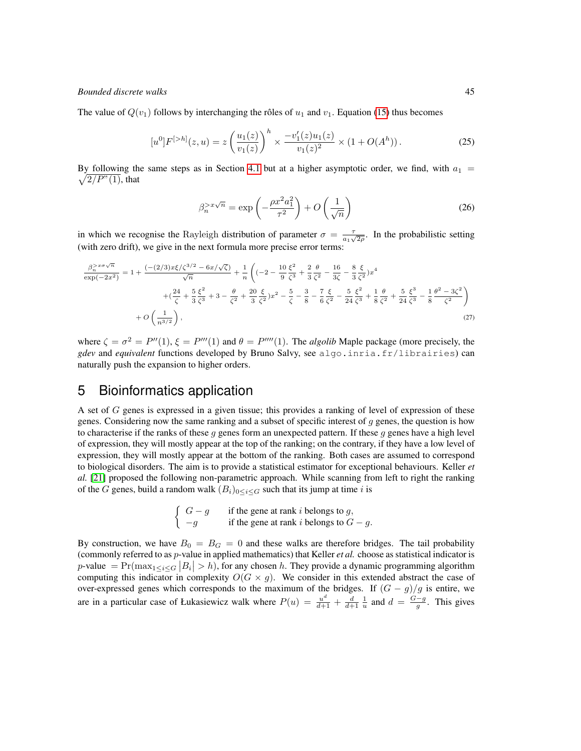The value of  $Q(v_1)$  follows by interchanging the rôles of  $u_1$  and  $v_1$ . Equation [\(15\)](#page-8-0) thus becomes

$$
[u^{0}]F^{[>h]}(z,u) = z \left(\frac{u_{1}(z)}{v_{1}(z)}\right)^{h} \times \frac{-v_{1}'(z)u_{1}(z)}{v_{1}(z)^{2}} \times (1 + O(A^{h})).
$$
\n(25)

 $\sqrt{2/P''(1)}$ , that By following the same steps as in Section [4.1](#page-6-1) but at a higher asymptotic order, we find, with  $a_1 =$ 

<span id="page-10-0"></span>
$$
\beta_n^{>x\sqrt{n}} = \exp\left(-\frac{\rho x^2 a_1^2}{\tau^2}\right) + O\left(\frac{1}{\sqrt{n}}\right)
$$
\n(26)

in which we recognise the Rayleigh distribution of parameter  $\sigma = \frac{\tau}{a_1\sqrt{2\rho}}$ . In the probabilistic setting (with zero drift), we give in the next formula more precise error terms:

$$
\frac{\beta_n^{>x\sigma\sqrt{n}}}{\exp(-2x^2)} = 1 + \frac{(-2/3)x\xi/\zeta^{3/2} - 6x/\sqrt{\zeta})}{\sqrt{n}} + \frac{1}{n} \left( (-2 - \frac{10}{9}\frac{\xi^2}{\zeta^3} + \frac{2}{3}\frac{\theta}{\zeta^2} - \frac{16}{3\zeta} - \frac{8}{3}\frac{\xi}{\zeta^2})x^4 + (\frac{24}{\zeta} + \frac{5}{3}\frac{\xi^2}{\zeta^3} + 3 - \frac{\theta}{\zeta^2} + \frac{20}{3}\frac{\xi}{\zeta^2})x^2 - \frac{5}{\zeta} - \frac{3}{8} - \frac{7}{6}\frac{\xi}{\zeta^2} - \frac{5}{24}\frac{\xi^2}{\zeta^3} + \frac{1}{8}\frac{\theta}{\zeta^2} + \frac{5}{24}\frac{\xi^3}{\zeta^3} - \frac{1}{8}\frac{\theta^2 - 3\zeta^2}{\zeta^2} \right) + O\left(\frac{1}{n^{3/2}}\right),
$$
\n(27)

where  $\zeta = \sigma^2 = P''(1)$ ,  $\xi = P'''(1)$  and  $\theta = P''''(1)$ . The *algolib* Maple package (more precisely, the *gdev* and *equivalent* functions developed by Bruno Salvy, see algo.inria.fr/librairies) can naturally push the expansion to higher orders.

# 5 Bioinformatics application

A set of G genes is expressed in a given tissue; this provides a ranking of level of expression of these genes. Considering now the same ranking and a subset of specific interest of  $g$  genes, the question is how to characterise if the ranks of these  $g$  genes form an unexpected pattern. If these  $g$  genes have a high level of expression, they will mostly appear at the top of the ranking; on the contrary, if they have a low level of expression, they will mostly appear at the bottom of the ranking. Both cases are assumed to correspond to biological disorders. The aim is to provide a statistical estimator for exceptional behaviours. Keller *et al.* [\[21\]](#page-13-16) proposed the following non-parametric approach. While scanning from left to right the ranking of the G genes, build a random walk  $(B_i)_{0 \leq i \leq G}$  such that its jump at time i is

$$
\begin{cases}\nG - g & \text{if the gene at rank } i \text{ belongs to } g, \\
-g & \text{if the gene at rank } i \text{ belongs to } G - g.\n\end{cases}
$$

By construction, we have  $B_0 = B_G = 0$  and these walks are therefore bridges. The tail probability (commonly referred to as p-value in applied mathematics) that Keller *et al.* choose as statistical indicator is p-value  $= \Pr(\max_{1 \leq i \leq G} |B_i| > h)$ , for any chosen h. They provide a dynamic programming algorithm computing this indicator in complexity  $O(G \times g)$ . We consider in this extended abstract the case of over-expressed genes which corresponds to the maximum of the bridges. If  $(G - g)/g$  is entire, we are in a particular case of Łukasiewicz walk where  $P(u) = \frac{u^d}{d+1} + \frac{d}{d+1} \frac{1}{u}$  and  $d = \frac{G-g}{g}$ . This gives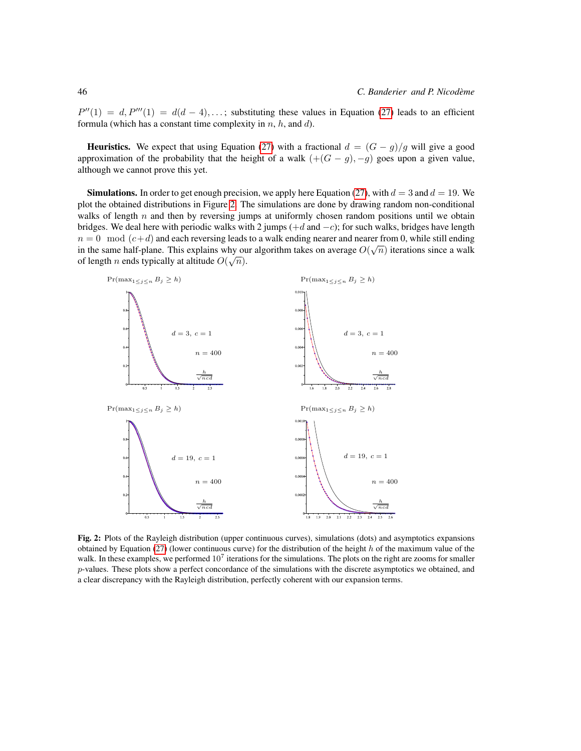$P''(1) = d, P'''(1) = d(d-4), \ldots$ ; substituting these values in Equation [\(27\)](#page-10-0) leads to an efficient formula (which has a constant time complexity in  $n, h$ , and  $d$ ).

**Heuristics.** We expect that using Equation [\(27\)](#page-10-0) with a fractional  $d = (G - g)/g$  will give a good approximation of the probability that the height of a walk  $(+(G-g), -g)$  goes upon a given value, although we cannot prove this yet.

**Simulations.** In order to get enough precision, we apply here Equation [\(27\)](#page-10-0), with  $d = 3$  and  $d = 19$ . We plot the obtained distributions in Figure [2.](#page-11-0) The simulations are done by drawing random non-conditional walks of length  $n$  and then by reversing jumps at uniformly chosen random positions until we obtain bridges. We deal here with periodic walks with 2 jumps  $(+d \text{ and } -c)$ ; for such walks, bridges have length  $n = 0 \mod (c+d)$  and each reversing leads to a walk ending nearer and nearer from 0, while still ending in the same half-plane. This explains why our algorithm takes on average  $O(\sqrt{n})$  iterations since a walk of length *n* ends typically at altitude  $O(\sqrt{n})$ .



<span id="page-11-0"></span>Fig. 2: Plots of the Rayleigh distribution (upper continuous curves), simulations (dots) and asymptotics expansions obtained by Equation [\(27\)](#page-10-0) (lower continuous curve) for the distribution of the height  $h$  of the maximum value of the walk. In these examples, we performed  $10^7$  iterations for the simulations. The plots on the right are zooms for smaller  $p$ -values. These plots show a perfect concordance of the simulations with the discrete asymptotics we obtained, and a clear discrepancy with the Rayleigh distribution, perfectly coherent with our expansion terms.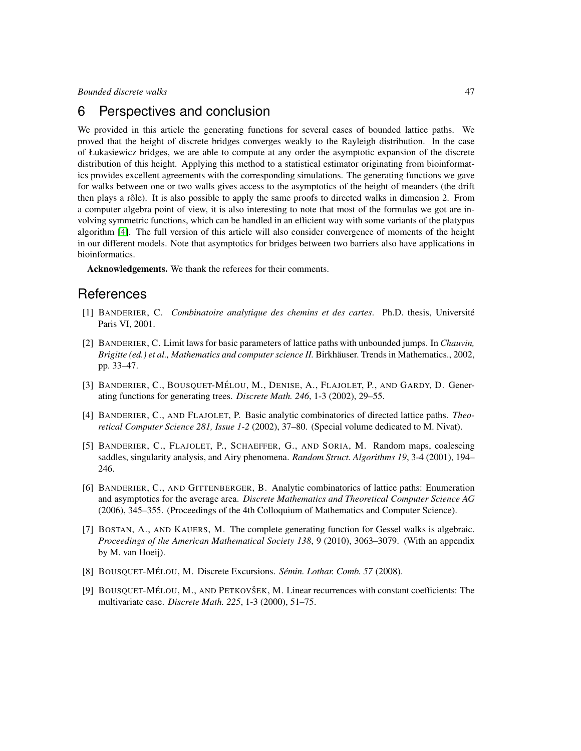### 6 Perspectives and conclusion

We provided in this article the generating functions for several cases of bounded lattice paths. We proved that the height of discrete bridges converges weakly to the Rayleigh distribution. In the case of Łukasiewicz bridges, we are able to compute at any order the asymptotic expansion of the discrete distribution of this height. Applying this method to a statistical estimator originating from bioinformatics provides excellent agreements with the corresponding simulations. The generating functions we gave for walks between one or two walls gives access to the asymptotics of the height of meanders (the drift then plays a rôle). It is also possible to apply the same proofs to directed walks in dimension 2. From a computer algebra point of view, it is also interesting to note that most of the formulas we got are involving symmetric functions, which can be handled in an efficient way with some variants of the platypus algorithm [\[4\]](#page-12-0). The full version of this article will also consider convergence of moments of the height in our different models. Note that asymptotics for bridges between two barriers also have applications in bioinformatics.

Acknowledgements. We thank the referees for their comments.

### References

- <span id="page-12-3"></span>[1] BANDERIER, C. *Combinatoire analytique des chemins et des cartes*. Ph.D. thesis, Universite´ Paris VI, 2001.
- <span id="page-12-6"></span>[2] BANDERIER, C. Limit laws for basic parameters of lattice paths with unbounded jumps. In *Chauvin, Brigitte (ed.) et al., Mathematics and computer science II. Birkhäuser. Trends in Mathematics., 2002,* pp. 33–47.
- <span id="page-12-4"></span>[3] BANDERIER, C., BOUSQUET-MÉLOU, M., DENISE, A., FLAJOLET, P., AND GARDY, D. Generating functions for generating trees. *Discrete Math. 246*, 1-3 (2002), 29–55.
- <span id="page-12-0"></span>[4] BANDERIER, C., AND FLAJOLET, P. Basic analytic combinatorics of directed lattice paths. *Theoretical Computer Science 281, Issue 1-2* (2002), 37–80. (Special volume dedicated to M. Nivat).
- <span id="page-12-8"></span>[5] BANDERIER, C., FLAJOLET, P., SCHAEFFER, G., AND SORIA, M. Random maps, coalescing saddles, singularity analysis, and Airy phenomena. *Random Struct. Algorithms 19*, 3-4 (2001), 194– 246.
- <span id="page-12-1"></span>[6] BANDERIER, C., AND GITTENBERGER, B. Analytic combinatorics of lattice paths: Enumeration and asymptotics for the average area. *Discrete Mathematics and Theoretical Computer Science AG* (2006), 345–355. (Proceedings of the 4th Colloquium of Mathematics and Computer Science).
- <span id="page-12-5"></span>[7] BOSTAN, A., AND KAUERS, M. The complete generating function for Gessel walks is algebraic. *Proceedings of the American Mathematical Society 138*, 9 (2010), 3063–3079. (With an appendix by M. van Hoeij).
- <span id="page-12-7"></span>[8] BOUSQUET-MÉLOU, M. Discrete Excursions. *Sémin. Lothar. Comb. 57 (2008).*
- <span id="page-12-2"></span>[9] BOUSQUET-MÉLOU, M., AND PETKOVŠEK, M. Linear recurrences with constant coefficients: The multivariate case. *Discrete Math. 225*, 1-3 (2000), 51–75.